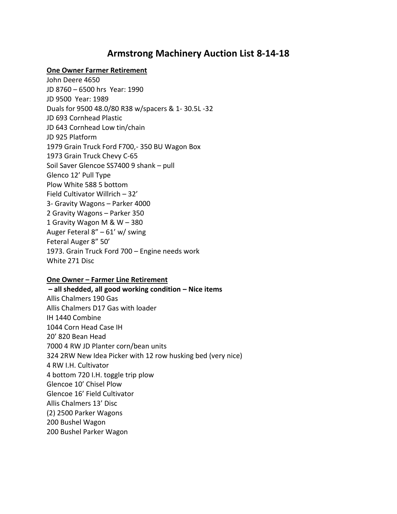## **Armstrong Machinery Auction List 8-14-18**

#### **One Owner Farmer Retirement**

John Deere 4650 JD 8760 – 6500 hrs Year: 1990 JD 9500 Year: 1989 Duals for 9500 48.0/80 R38 w/spacers & 1- 30.5L -32 JD 693 Cornhead Plastic JD 643 Cornhead Low tin/chain JD 925 Platform 1979 Grain Truck Ford F700,- 350 BU Wagon Box 1973 Grain Truck Chevy C-65 Soil Saver Glencoe SS7400 9 shank – pull Glenco 12' Pull Type Plow White 588 5 bottom Field Cultivator Willrich – 32' 3- Gravity Wagons – Parker 4000 2 Gravity Wagons – Parker 350 1 Gravity Wagon M & W – 380 Auger Feteral 8" – 61' w/ swing Feteral Auger 8" 50' 1973. Grain Truck Ford 700 – Engine needs work White 271 Disc

#### **One Owner – Farmer Line Retirement**

**– all shedded, all good working condition – Nice items**  Allis Chalmers 190 Gas Allis Chalmers D17 Gas with loader IH 1440 Combine 1044 Corn Head Case IH 20' 820 Bean Head 7000 4 RW JD Planter corn/bean units 324 2RW New Idea Picker with 12 row husking bed (very nice) 4 RW I.H. Cultivator 4 bottom 720 I.H. toggle trip plow Glencoe 10' Chisel Plow Glencoe 16' Field Cultivator Allis Chalmers 13' Disc (2) 2500 Parker Wagons 200 Bushel Wagon 200 Bushel Parker Wagon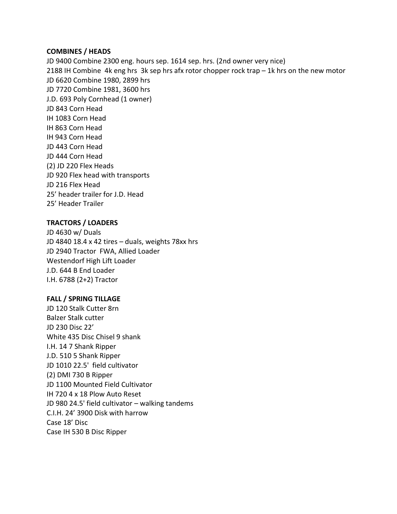#### **COMBINES / HEADS**

JD 9400 Combine 2300 eng. hours sep. 1614 sep. hrs. (2nd owner very nice) 2188 IH Combine 4k eng hrs 3k sep hrs afx rotor chopper rock trap – 1k hrs on the new motor JD 6620 Combine 1980, 2899 hrs JD 7720 Combine 1981, 3600 hrs J.D. 693 Poly Cornhead (1 owner) JD 843 Corn Head IH 1083 Corn Head IH 863 Corn Head IH 943 Corn Head JD 443 Corn Head JD 444 Corn Head (2) JD 220 Flex Heads JD 920 Flex head with transports JD 216 Flex Head 25' header trailer for J.D. Head 25' Header Trailer

### **TRACTORS / LOADERS**

JD 4630 w/ Duals JD 4840 18.4 x 42 tires – duals, weights 78xx hrs JD 2940 Tractor FWA, Allied Loader Westendorf High Lift Loader J.D. 644 B End Loader I.H. 6788 (2+2) Tractor

### **FALL / SPRING TILLAGE**

JD 120 Stalk Cutter 8rn Balzer Stalk cutter JD 230 Disc 22' White 435 Disc Chisel 9 shank I.H. 14 7 Shank Ripper J.D. 510 5 Shank Ripper JD 1010 22.5' field cultivator (2) DMI 730 B Ripper JD 1100 Mounted Field Cultivator IH 720 4 x 18 Plow Auto Reset JD 980 24.5' field cultivator – walking tandems C.I.H. 24' 3900 Disk with harrow Case 18' Disc Case IH 530 B Disc Ripper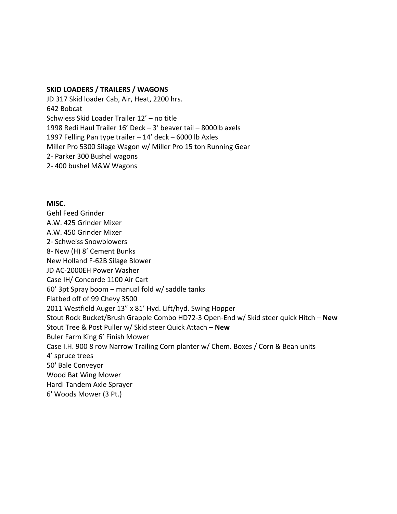#### **SKID LOADERS / TRAILERS / WAGONS**

JD 317 Skid loader Cab, Air, Heat, 2200 hrs. 642 Bobcat Schwiess Skid Loader Trailer 12' – no title 1998 Redi Haul Trailer 16' Deck – 3' beaver tail – 8000lb axels 1997 Felling Pan type trailer – 14' deck – 6000 lb Axles Miller Pro 5300 Silage Wagon w/ Miller Pro 15 ton Running Gear 2- Parker 300 Bushel wagons 2- 400 bushel M&W Wagons

#### **MISC.**

Gehl Feed Grinder A.W. 425 Grinder Mixer A.W. 450 Grinder Mixer 2- Schweiss Snowblowers 8- New (H) 8' Cement Bunks New Holland F-62B Silage Blower JD AC-2000EH Power Washer Case IH/ Concorde 1100 Air Cart 60' 3pt Spray boom – manual fold w/ saddle tanks Flatbed off of 99 Chevy 3500 2011 Westfield Auger 13" x 81' Hyd. Lift/hyd. Swing Hopper Stout Rock Bucket/Brush Grapple Combo HD72-3 Open-End w/ Skid steer quick Hitch – **New**  Stout Tree & Post Puller w/ Skid steer Quick Attach – **New**  Buler Farm King 6' Finish Mower Case I.H. 900 8 row Narrow Trailing Corn planter w/ Chem. Boxes / Corn & Bean units 4' spruce trees 50' Bale Conveyor Wood Bat Wing Mower Hardi Tandem Axle Sprayer 6' Woods Mower (3 Pt.)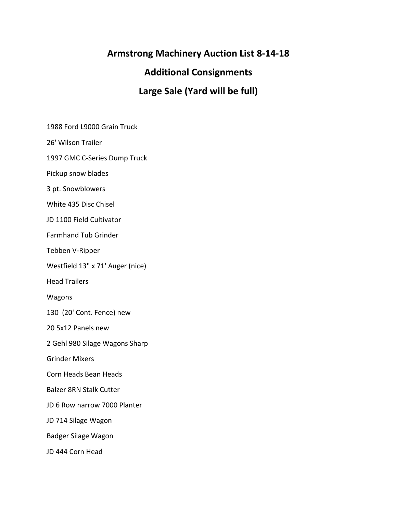# **Armstrong Machinery Auction List 8-14-18**

## **Additional Consignments**

# **Large Sale (Yard will be full)**

1988 Ford L9000 Grain Truck

26' Wilson Trailer

1997 GMC C-Series Dump Truck

Pickup snow blades

3 pt. Snowblowers

White 435 Disc Chisel

JD 1100 Field Cultivator

Farmhand Tub Grinder

Tebben V-Ripper

Westfield 13" x 71' Auger (nice)

Head Trailers

Wagons

130 (20' Cont. Fence) new

20 5x12 Panels new

2 Gehl 980 Silage Wagons Sharp

Grinder Mixers

Corn Heads Bean Heads

Balzer 8RN Stalk Cutter

JD 6 Row narrow 7000 Planter

JD 714 Silage Wagon

Badger Silage Wagon

JD 444 Corn Head